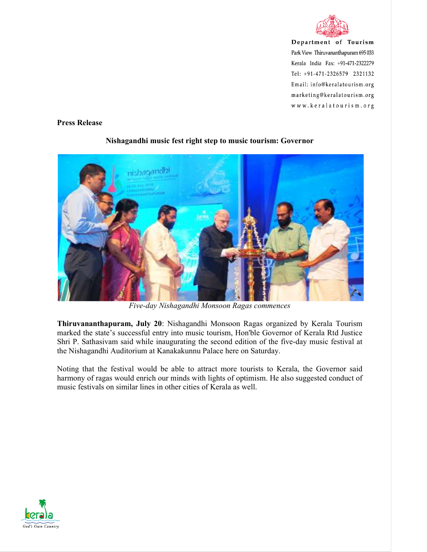

Department of Tourism Park View Thiruvananthapuram 695 033 Kerala India Fax: +91-471-2322279 Tel: +91-471-2326579 2321132 Email: info@keralatourism.org marketing@keralatourism.org www.keralatourism.org

## **Press Release**



## **Nishagandhi music fest right step to music tourism: Governor**

*Five-day Nishagandhi Monsoon Ragas commences* 

**Thiruvananthapuram, July 20**: Nishagandhi Monsoon Ragas organized by Kerala Tourism marked the state's successful entry into music tourism, Hon'ble Governor of Kerala Rtd Justice Shri P. Sathasivam said while inaugurating the second edition of the five-day music festival at the Nishagandhi Auditorium at Kanakakunnu Palace here on Saturday.

Noting that the festival would be able to attract more tourists to Kerala, the Governor said harmony of ragas would enrich our minds with lights of optimism. He also suggested conduct of music festivals on similar lines in other cities of Kerala as well.

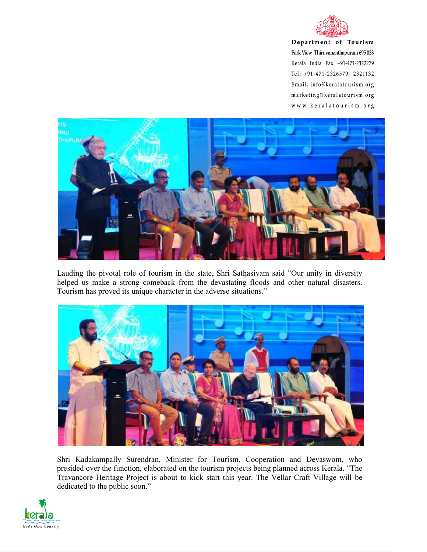

Department of Tourism Park View Thiruvananthapuram 695 033 Kerala India Fax: +91-471-2322279 Tel: +91-471-2326579 2321132 Email: info@keralatourism.org marketing@keralatourism.org www.keralatourism.org



Lauding the pivotal role of tourism in the state, Shri Sathasivam said "Our unity in diversity helped us make a strong comeback from the devastating floods and other natural disasters. Tourism has proved its unique character in the adverse situations."



Shri Kadakampally Surendran, Minister for Tourism, Cooperation and Devaswom, who presided over the function, elaborated on the tourism projects being planned across Kerala. "The Travancore Heritage Project is about to kick start this year. The Vellar Craft Village will be dedicated to the public soon."